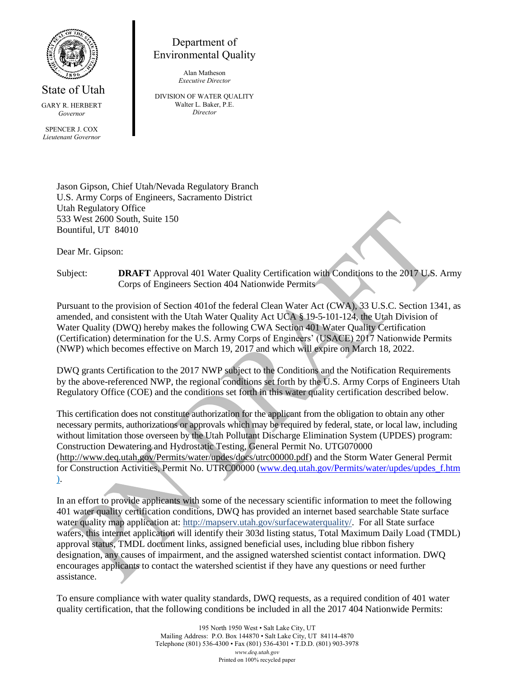

State of Utah GARY R. HERBERT *Governor*

SPENCER J. COX *Lieutenant Governor*

## Department of Environmental Quality

Alan Matheson *Executive Director*

DIVISION OF WATER QUALITY Walter L. Baker, P.E. *Director*

Jason Gipson, Chief Utah/Nevada Regulatory Branch U.S. Army Corps of Engineers, Sacramento District Utah Regulatory Office 533 West 2600 South, Suite 150 Bountiful, UT 84010

Dear Mr. Gipson:

Subject: **DRAFT** Approval 401 Water Quality Certification with Conditions to the 2017 U.S. Army Corps of Engineers Section 404 Nationwide Permits

Pursuant to the provision of Section 401of the federal Clean Water Act (CWA), 33 U.S.C. Section 1341, as amended, and consistent with the Utah Water Quality Act UCA § 19-5-101-124, the Utah Division of Water Quality (DWQ) hereby makes the following CWA Section 401 Water Quality Certification (Certification) determination for the U.S. Army Corps of Engineers' (USACE) 2017 Nationwide Permits (NWP) which becomes effective on March 19, 2017 and which will expire on March 18, 2022.

DWQ grants Certification to the 2017 NWP subject to the Conditions and the Notification Requirements by the above-referenced NWP, the regional conditions set forth by the U.S. Army Corps of Engineers Utah Regulatory Office (COE) and the conditions set forth in this water quality certification described below.

This certification does not constitute authorization for the applicant from the obligation to obtain any other necessary permits, authorizations or approvals which may be required by federal, state, or local law, including without limitation those overseen by the Utah Pollutant Discharge Elimination System (UPDES) program: Construction Dewatering and Hydrostatic Testing, General Permit No. UTG070000 (http://www.deq.utah.gov/Permits/water/updes/docs/utrc00000.pdf) and the Storm Water General Permit for Construction Activities, Permit No. UTRC00000 (www.deq.utah.gov/Permits/water/updes/updes\_f.htm ).

In an effort to provide applicants with some of the necessary scientific information to meet the following 401 water quality certification conditions, DWQ has provided an internet based searchable State surface water quality map application at: http://mapserv.utah.gov/surfacewaterquality/. For all State surface waters, this internet application will identify their 303d listing status, Total Maximum Daily Load (TMDL) approval status, TMDL document links, assigned beneficial uses, including blue ribbon fishery designation, any causes of impairment, and the assigned watershed scientist contact information. DWQ encourages applicants to contact the watershed scientist if they have any questions or need further assistance.

To ensure compliance with water quality standards, DWQ requests, as a required condition of 401 water quality certification, that the following conditions be included in all the 2017 404 Nationwide Permits: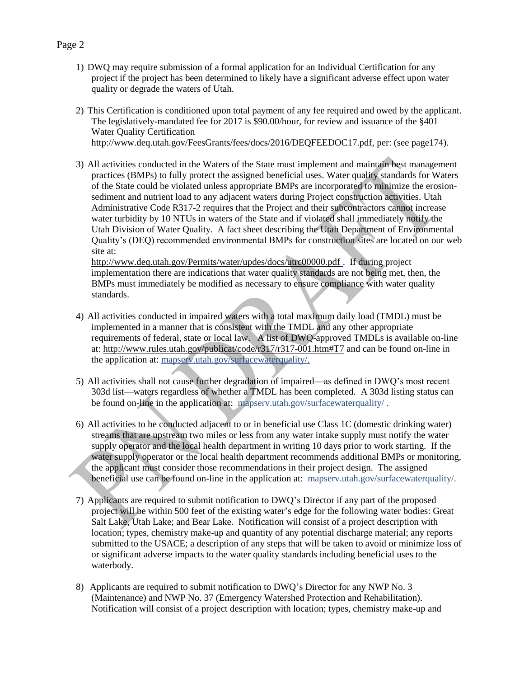- 1) DWQ may require submission of a formal application for an Individual Certification for any project if the project has been determined to likely have a significant adverse effect upon water quality or degrade the waters of Utah.
- 2) This Certification is conditioned upon total payment of any fee required and owed by the applicant. The legislatively-mandated fee for 2017 is \$90.00/hour, for review and issuance of the §401 Water Quality Certification http://www.deq.utah.gov/FeesGrants/fees/docs/2016/DEQFEEDOC17.pdf, per: (see page174).
- 3) All activities conducted in the Waters of the State must implement and maintain best management practices (BMPs) to fully protect the assigned beneficial uses. Water quality standards for Waters of the State could be violated unless appropriate BMPs are incorporated to minimize the erosionsediment and nutrient load to any adjacent waters during Project construction activities. Utah Administrative Code R317-2 requires that the Project and their subcontractors cannot increase water turbidity by 10 NTUs in waters of the State and if violated shall immediately notify the Utah Division of Water Quality. A fact sheet describing the Utah Department of Environmental Quality's (DEQ) recommended environmental BMPs for construction sites are located on our web site at:

http://www.deq.utah.gov/Permits/water/updes/docs/utrc00000.pdf . If during project implementation there are indications that water quality standards are not being met, then, the BMPs must immediately be modified as necessary to ensure compliance with water quality standards.

- 4) All activities conducted in impaired waters with a total maximum daily load (TMDL) must be implemented in a manner that is consistent with the TMDL and any other appropriate requirements of federal, state or local law. A list of DWQ-approved TMDLs is available on-line at:<http://www.rules.utah.gov/publicat/code/r317/r317-001.htm#T7> and can be found on-line in the application at: mapserv.utah.gov/surfacewaterquality/.
- 5) All activities shall not cause further degradation of impaired—as defined in DWQ's most recent 303d list—waters regardless of whether a TMDL has been completed. A 303d listing status can be found on-line in the application at: mapserv.utah.gov/surfacewaterquality/.
- 6) All activities to be conducted adjacent to or in beneficial use Class 1C (domestic drinking water) streams that are upstream two miles or less from any water intake supply must notify the water supply operator and the local health department in writing 10 days prior to work starting. If the water supply operator or the local health department recommends additional BMPs or monitoring, the applicant must consider those recommendations in their project design. The assigned beneficial use can be found on-line in the application at: mapserv.utah.gov/surfacewaterquality/.
- 7) Applicants are required to submit notification to DWQ's Director if any part of the proposed project will be within 500 feet of the existing water's edge for the following water bodies: Great Salt Lake, Utah Lake; and Bear Lake. Notification will consist of a project description with location; types, chemistry make-up and quantity of any potential discharge material; any reports submitted to the USACE; a description of any steps that will be taken to avoid or minimize loss of or significant adverse impacts to the water quality standards including beneficial uses to the waterbody.
- 8) Applicants are required to submit notification to DWQ's Director for any NWP No. 3 (Maintenance) and NWP No. 37 (Emergency Watershed Protection and Rehabilitation). Notification will consist of a project description with location; types, chemistry make-up and

## Page 2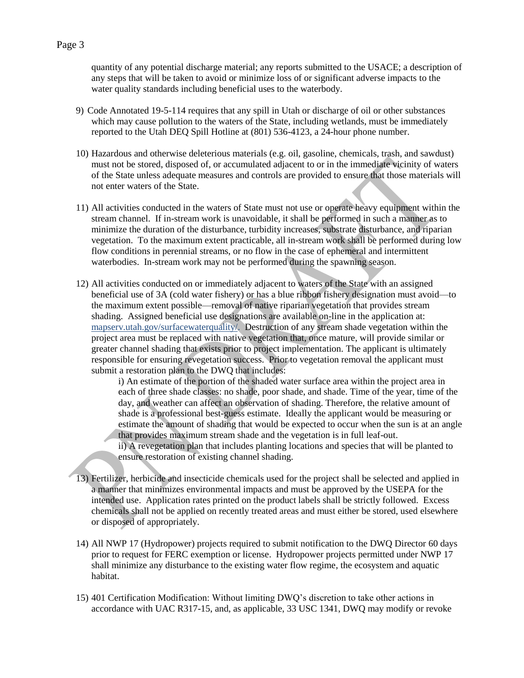quantity of any potential discharge material; any reports submitted to the USACE; a description of any steps that will be taken to avoid or minimize loss of or significant adverse impacts to the water quality standards including beneficial uses to the waterbody.

- 9) Code Annotated 19-5-114 requires that any spill in Utah or discharge of oil or other substances which may cause pollution to the waters of the State, including wetlands, must be immediately reported to the Utah DEQ Spill Hotline at (801) 536-4123, a 24-hour phone number.
- 10) Hazardous and otherwise deleterious materials (e.g. oil, gasoline, chemicals, trash, and sawdust) must not be stored, disposed of, or accumulated adjacent to or in the immediate vicinity of waters of the State unless adequate measures and controls are provided to ensure that those materials will not enter waters of the State.
- 11) All activities conducted in the waters of State must not use or operate heavy equipment within the stream channel. If in-stream work is unavoidable, it shall be performed in such a manner as to minimize the duration of the disturbance, turbidity increases, substrate disturbance, and riparian vegetation. To the maximum extent practicable, all in-stream work shall be performed during low flow conditions in perennial streams, or no flow in the case of ephemeral and intermittent waterbodies. In-stream work may not be performed during the spawning season.
- 12) All activities conducted on or immediately adjacent to waters of the State with an assigned beneficial use of 3A (cold water fishery) or has a blue ribbon fishery designation must avoid—to the maximum extent possible—removal of native riparian vegetation that provides stream shading. Assigned beneficial use designations are available on-line in the application at: mapserv.utah.gov/surfacewaterquality/. Destruction of any stream shade vegetation within the project area must be replaced with native vegetation that, once mature, will provide similar or greater channel shading that exists prior to project implementation. The applicant is ultimately responsible for ensuring revegetation success. Prior to vegetation removal the applicant must submit a restoration plan to the DWQ that includes:

i) An estimate of the portion of the shaded water surface area within the project area in each of three shade classes: no shade, poor shade, and shade. Time of the year, time of the day, and weather can affect an observation of shading. Therefore, the relative amount of shade is a professional best-guess estimate. Ideally the applicant would be measuring or estimate the amount of shading that would be expected to occur when the sun is at an angle that provides maximum stream shade and the vegetation is in full leaf-out.

ii) A revegetation plan that includes planting locations and species that will be planted to ensure restoration of existing channel shading.

- 13) Fertilizer, herbicide and insecticide chemicals used for the project shall be selected and applied in a manner that minimizes environmental impacts and must be approved by the USEPA for the intended use. Application rates printed on the product labels shall be strictly followed. Excess chemicals shall not be applied on recently treated areas and must either be stored, used elsewhere or disposed of appropriately.
- 14) All NWP 17 (Hydropower) projects required to submit notification to the DWQ Director 60 days prior to request for FERC exemption or license. Hydropower projects permitted under NWP 17 shall minimize any disturbance to the existing water flow regime, the ecosystem and aquatic habitat.
- 15) 401 Certification Modification: Without limiting DWQ's discretion to take other actions in accordance with UAC R317-15, and, as applicable, 33 USC 1341, DWQ may modify or revoke

## Page 3